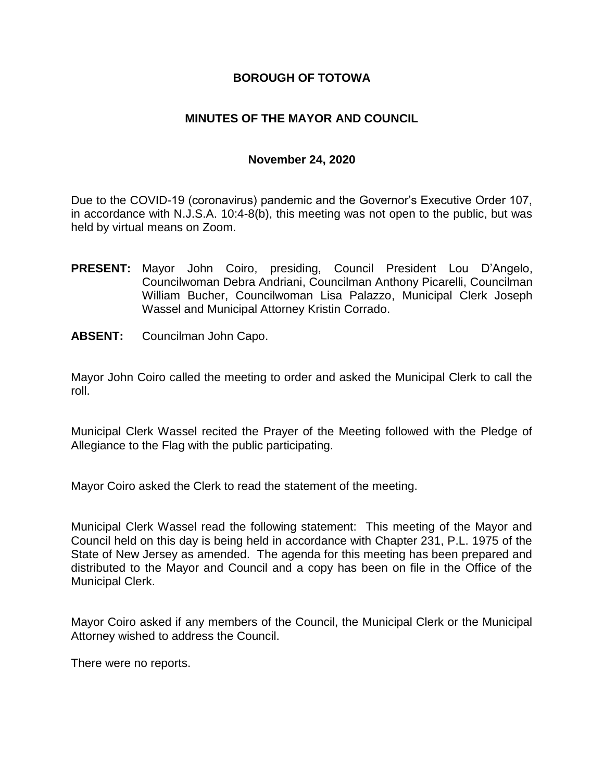### **BOROUGH OF TOTOWA**

## **MINUTES OF THE MAYOR AND COUNCIL**

#### **November 24, 2020**

Due to the COVID-19 (coronavirus) pandemic and the Governor's Executive Order 107, in accordance with N.J.S.A. 10:4-8(b), this meeting was not open to the public, but was held by virtual means on Zoom.

- **PRESENT:** Mayor John Coiro, presiding, Council President Lou D'Angelo, Councilwoman Debra Andriani, Councilman Anthony Picarelli, Councilman William Bucher, Councilwoman Lisa Palazzo, Municipal Clerk Joseph Wassel and Municipal Attorney Kristin Corrado.
- **ABSENT:** Councilman John Capo.

Mayor John Coiro called the meeting to order and asked the Municipal Clerk to call the roll.

Municipal Clerk Wassel recited the Prayer of the Meeting followed with the Pledge of Allegiance to the Flag with the public participating.

Mayor Coiro asked the Clerk to read the statement of the meeting.

Municipal Clerk Wassel read the following statement: This meeting of the Mayor and Council held on this day is being held in accordance with Chapter 231, P.L. 1975 of the State of New Jersey as amended. The agenda for this meeting has been prepared and distributed to the Mayor and Council and a copy has been on file in the Office of the Municipal Clerk.

Mayor Coiro asked if any members of the Council, the Municipal Clerk or the Municipal Attorney wished to address the Council.

There were no reports.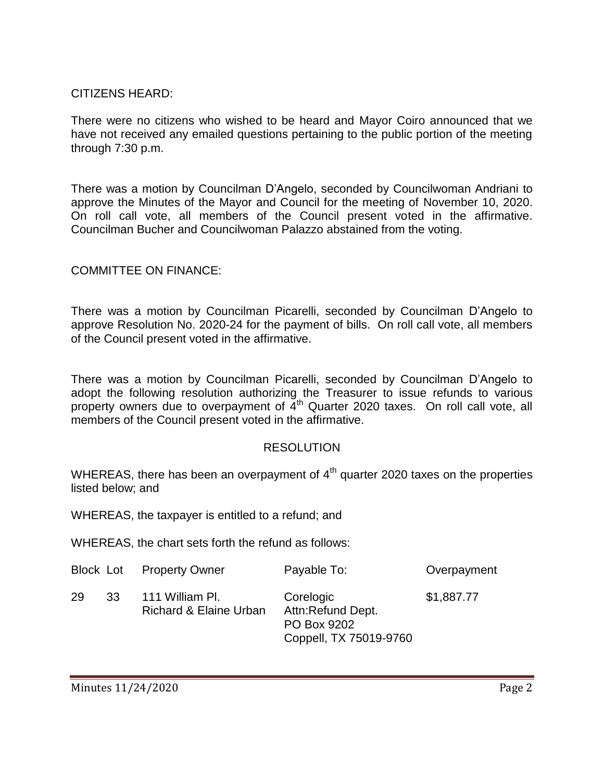## CITIZENS HEARD:

There were no citizens who wished to be heard and Mayor Coiro announced that we have not received any emailed questions pertaining to the public portion of the meeting through 7:30 p.m.

There was a motion by Councilman D'Angelo, seconded by Councilwoman Andriani to approve the Minutes of the Mayor and Council for the meeting of November 10, 2020. On roll call vote, all members of the Council present voted in the affirmative. Councilman Bucher and Councilwoman Palazzo abstained from the voting.

## COMMITTEE ON FINANCE:

There was a motion by Councilman Picarelli, seconded by Councilman D'Angelo to approve Resolution No. 2020-24 for the payment of bills. On roll call vote, all members of the Council present voted in the affirmative.

There was a motion by Councilman Picarelli, seconded by Councilman D'Angelo to adopt the following resolution authorizing the Treasurer to issue refunds to various property owners due to overpayment of  $\tilde{4}^{th}$  Quarter 2020 taxes. On roll call vote, all members of the Council present voted in the affirmative.

#### RESOLUTION

WHEREAS, there has been an overpayment of  $4<sup>th</sup>$  quarter 2020 taxes on the properties listed below; and

WHEREAS, the taxpayer is entitled to a refund; and

WHEREAS, the chart sets forth the refund as follows:

|          | <b>Block Lot</b> Property Owner           | Payable To:                                                             | Overpayment |
|----------|-------------------------------------------|-------------------------------------------------------------------------|-------------|
| 29<br>33 | 111 William PI.<br>Richard & Elaine Urban | Corelogic<br>Attn:Refund Dept.<br>PO Box 9202<br>Coppell, TX 75019-9760 | \$1,887.77  |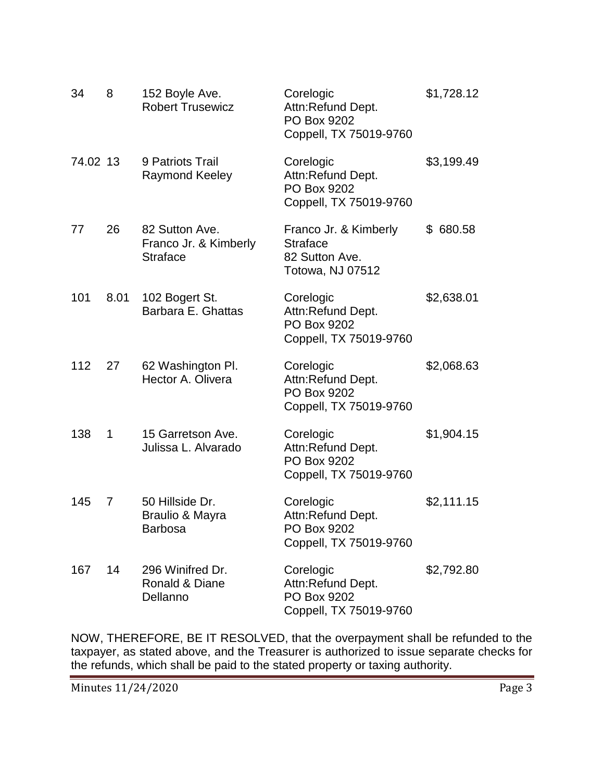| 34       | 8    | 152 Boyle Ave.<br><b>Robert Trusewicz</b>                  | Corelogic<br>Attn:Refund Dept.<br>PO Box 9202<br>Coppell, TX 75019-9760        | \$1,728.12 |
|----------|------|------------------------------------------------------------|--------------------------------------------------------------------------------|------------|
| 74.02 13 |      | 9 Patriots Trail<br><b>Raymond Keeley</b>                  | Corelogic<br>Attn:Refund Dept.<br>PO Box 9202<br>Coppell, TX 75019-9760        | \$3,199.49 |
| 77       | 26   | 82 Sutton Ave.<br>Franco Jr. & Kimberly<br><b>Straface</b> | Franco Jr. & Kimberly<br><b>Straface</b><br>82 Sutton Ave.<br>Totowa, NJ 07512 | \$ 680.58  |
| 101      | 8.01 | 102 Bogert St.<br>Barbara E. Ghattas                       | Corelogic<br>Attn:Refund Dept.<br>PO Box 9202<br>Coppell, TX 75019-9760        | \$2,638.01 |
| 112      | 27   | 62 Washington Pl.<br>Hector A. Olivera                     | Corelogic<br>Attn:Refund Dept.<br>PO Box 9202<br>Coppell, TX 75019-9760        | \$2,068.63 |
| 138      | 1    | 15 Garretson Ave.<br>Julissa L. Alvarado                   | Corelogic<br>Attn:Refund Dept.<br>PO Box 9202<br>Coppell, TX 75019-9760        | \$1,904.15 |
| 145      | 7    | 50 Hillside Dr.<br>Braulio & Mayra<br>Barbosa              | Corelogic<br>Attn:Refund Dept.<br>PO Box 9202<br>Coppell, TX 75019-9760        | \$2,111.15 |
| 167      | 14   | 296 Winifred Dr.<br>Ronald & Diane<br>Dellanno             | Corelogic<br>Attn:Refund Dept.<br>PO Box 9202<br>Coppell, TX 75019-9760        | \$2,792.80 |

NOW, THEREFORE, BE IT RESOLVED, that the overpayment shall be refunded to the taxpayer, as stated above, and the Treasurer is authorized to issue separate checks for the refunds, which shall be paid to the stated property or taxing authority.

Minutes 11/24/2020 Page 3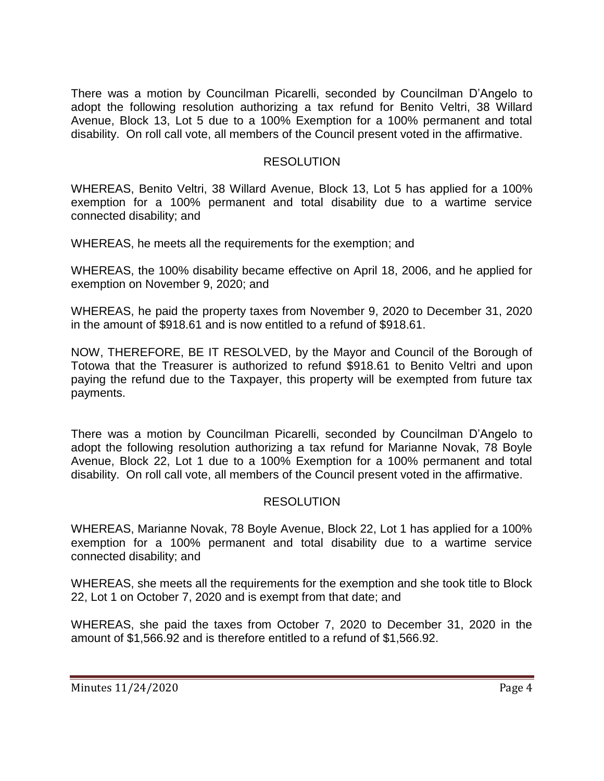There was a motion by Councilman Picarelli, seconded by Councilman D'Angelo to adopt the following resolution authorizing a tax refund for Benito Veltri, 38 Willard Avenue, Block 13, Lot 5 due to a 100% Exemption for a 100% permanent and total disability. On roll call vote, all members of the Council present voted in the affirmative.

#### RESOLUTION

WHEREAS, Benito Veltri, 38 Willard Avenue, Block 13, Lot 5 has applied for a 100% exemption for a 100% permanent and total disability due to a wartime service connected disability; and

WHEREAS, he meets all the requirements for the exemption; and

WHEREAS, the 100% disability became effective on April 18, 2006, and he applied for exemption on November 9, 2020; and

WHEREAS, he paid the property taxes from November 9, 2020 to December 31, 2020 in the amount of \$918.61 and is now entitled to a refund of \$918.61.

NOW, THEREFORE, BE IT RESOLVED, by the Mayor and Council of the Borough of Totowa that the Treasurer is authorized to refund \$918.61 to Benito Veltri and upon paying the refund due to the Taxpayer, this property will be exempted from future tax payments.

There was a motion by Councilman Picarelli, seconded by Councilman D'Angelo to adopt the following resolution authorizing a tax refund for Marianne Novak, 78 Boyle Avenue, Block 22, Lot 1 due to a 100% Exemption for a 100% permanent and total disability. On roll call vote, all members of the Council present voted in the affirmative.

## RESOLUTION

WHEREAS, Marianne Novak, 78 Boyle Avenue, Block 22, Lot 1 has applied for a 100% exemption for a 100% permanent and total disability due to a wartime service connected disability; and

WHEREAS, she meets all the requirements for the exemption and she took title to Block 22, Lot 1 on October 7, 2020 and is exempt from that date; and

WHEREAS, she paid the taxes from October 7, 2020 to December 31, 2020 in the amount of \$1,566.92 and is therefore entitled to a refund of \$1,566.92.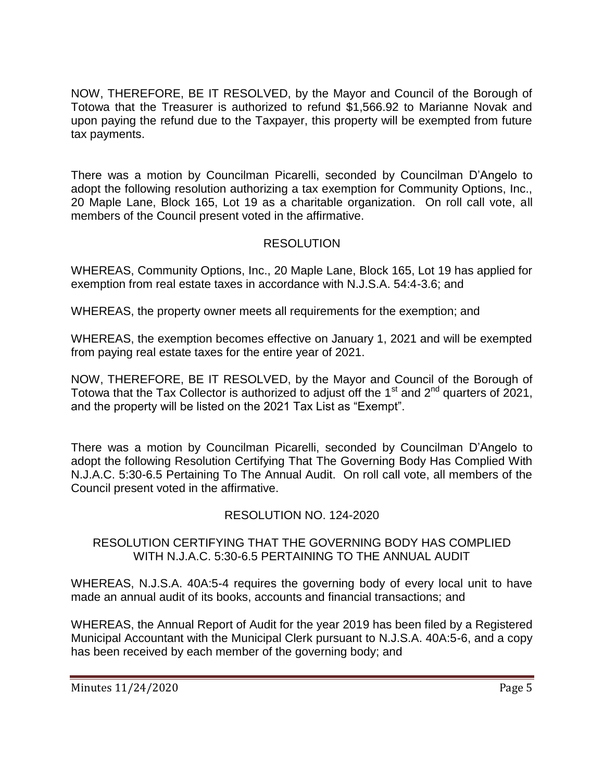NOW, THEREFORE, BE IT RESOLVED, by the Mayor and Council of the Borough of Totowa that the Treasurer is authorized to refund \$1,566.92 to Marianne Novak and upon paying the refund due to the Taxpayer, this property will be exempted from future tax payments.

There was a motion by Councilman Picarelli, seconded by Councilman D'Angelo to adopt the following resolution authorizing a tax exemption for Community Options, Inc., 20 Maple Lane, Block 165, Lot 19 as a charitable organization. On roll call vote, all members of the Council present voted in the affirmative.

# **RESOLUTION**

WHEREAS, Community Options, Inc., 20 Maple Lane, Block 165, Lot 19 has applied for exemption from real estate taxes in accordance with N.J.S.A. 54:4-3.6; and

WHEREAS, the property owner meets all requirements for the exemption; and

WHEREAS, the exemption becomes effective on January 1, 2021 and will be exempted from paying real estate taxes for the entire year of 2021.

NOW, THEREFORE, BE IT RESOLVED, by the Mayor and Council of the Borough of Totowa that the Tax Collector is authorized to adjust off the 1<sup>st</sup> and  $2^{nd}$  quarters of 2021, and the property will be listed on the 2021 Tax List as "Exempt".

There was a motion by Councilman Picarelli, seconded by Councilman D'Angelo to adopt the following Resolution Certifying That The Governing Body Has Complied With N.J.A.C. 5:30-6.5 Pertaining To The Annual Audit. On roll call vote, all members of the Council present voted in the affirmative.

## RESOLUTION NO. 124-2020

### RESOLUTION CERTIFYING THAT THE GOVERNING BODY HAS COMPLIED WITH N.J.A.C. 5:30-6.5 PERTAINING TO THE ANNUAL AUDIT

WHEREAS, N.J.S.A. 40A:5-4 requires the governing body of every local unit to have made an annual audit of its books, accounts and financial transactions; and

WHEREAS, the Annual Report of Audit for the year 2019 has been filed by a Registered Municipal Accountant with the Municipal Clerk pursuant to N.J.S.A. 40A:5-6, and a copy has been received by each member of the governing body; and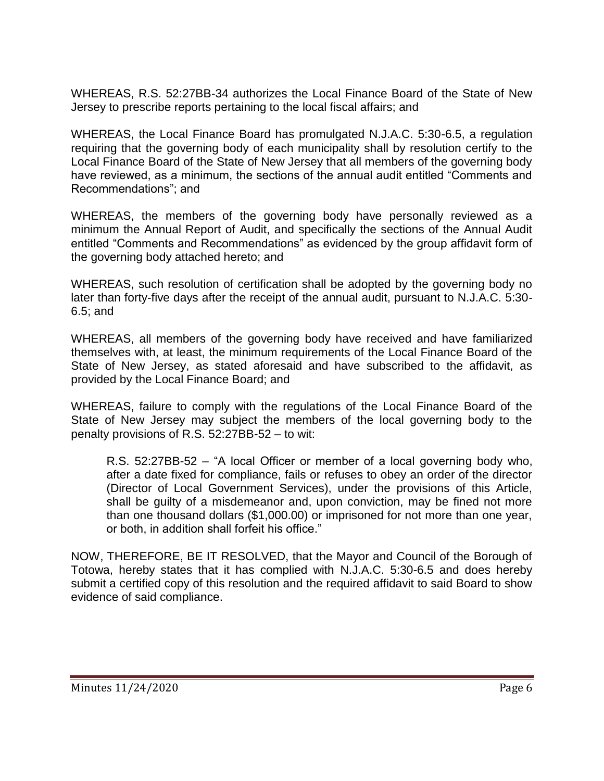WHEREAS, R.S. 52:27BB-34 authorizes the Local Finance Board of the State of New Jersey to prescribe reports pertaining to the local fiscal affairs; and

WHEREAS, the Local Finance Board has promulgated N.J.A.C. 5:30-6.5, a regulation requiring that the governing body of each municipality shall by resolution certify to the Local Finance Board of the State of New Jersey that all members of the governing body have reviewed, as a minimum, the sections of the annual audit entitled "Comments and Recommendations"; and

WHEREAS, the members of the governing body have personally reviewed as a minimum the Annual Report of Audit, and specifically the sections of the Annual Audit entitled "Comments and Recommendations" as evidenced by the group affidavit form of the governing body attached hereto; and

WHEREAS, such resolution of certification shall be adopted by the governing body no later than forty-five days after the receipt of the annual audit, pursuant to N.J.A.C. 5:30- 6.5; and

WHEREAS, all members of the governing body have received and have familiarized themselves with, at least, the minimum requirements of the Local Finance Board of the State of New Jersey, as stated aforesaid and have subscribed to the affidavit, as provided by the Local Finance Board; and

WHEREAS, failure to comply with the regulations of the Local Finance Board of the State of New Jersey may subject the members of the local governing body to the penalty provisions of R.S. 52:27BB-52 – to wit:

R.S. 52:27BB-52 – "A local Officer or member of a local governing body who, after a date fixed for compliance, fails or refuses to obey an order of the director (Director of Local Government Services), under the provisions of this Article, shall be guilty of a misdemeanor and, upon conviction, may be fined not more than one thousand dollars (\$1,000.00) or imprisoned for not more than one year, or both, in addition shall forfeit his office."

NOW, THEREFORE, BE IT RESOLVED, that the Mayor and Council of the Borough of Totowa, hereby states that it has complied with N.J.A.C. 5:30-6.5 and does hereby submit a certified copy of this resolution and the required affidavit to said Board to show evidence of said compliance.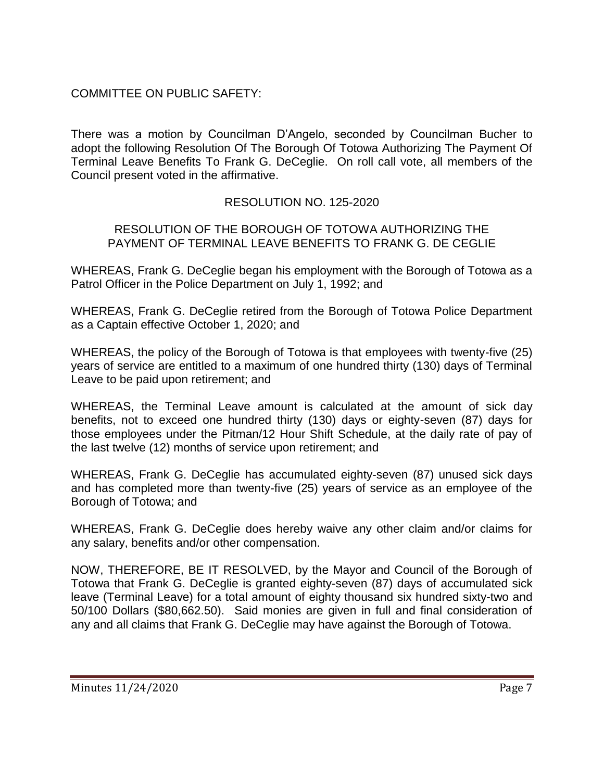# COMMITTEE ON PUBLIC SAFETY:

There was a motion by Councilman D'Angelo, seconded by Councilman Bucher to adopt the following Resolution Of The Borough Of Totowa Authorizing The Payment Of Terminal Leave Benefits To Frank G. DeCeglie. On roll call vote, all members of the Council present voted in the affirmative.

## RESOLUTION NO. 125-2020

#### RESOLUTION OF THE BOROUGH OF TOTOWA AUTHORIZING THE PAYMENT OF TERMINAL LEAVE BENEFITS TO FRANK G. DE CEGLIE

WHEREAS, Frank G. DeCeglie began his employment with the Borough of Totowa as a Patrol Officer in the Police Department on July 1, 1992; and

WHEREAS, Frank G. DeCeglie retired from the Borough of Totowa Police Department as a Captain effective October 1, 2020; and

WHEREAS, the policy of the Borough of Totowa is that employees with twenty-five (25) years of service are entitled to a maximum of one hundred thirty (130) days of Terminal Leave to be paid upon retirement; and

WHEREAS, the Terminal Leave amount is calculated at the amount of sick day benefits, not to exceed one hundred thirty (130) days or eighty-seven (87) days for those employees under the Pitman/12 Hour Shift Schedule, at the daily rate of pay of the last twelve (12) months of service upon retirement; and

WHEREAS, Frank G. DeCeglie has accumulated eighty-seven (87) unused sick days and has completed more than twenty-five (25) years of service as an employee of the Borough of Totowa; and

WHEREAS, Frank G. DeCeglie does hereby waive any other claim and/or claims for any salary, benefits and/or other compensation.

NOW, THEREFORE, BE IT RESOLVED, by the Mayor and Council of the Borough of Totowa that Frank G. DeCeglie is granted eighty-seven (87) days of accumulated sick leave (Terminal Leave) for a total amount of eighty thousand six hundred sixty-two and 50/100 Dollars (\$80,662.50). Said monies are given in full and final consideration of any and all claims that Frank G. DeCeglie may have against the Borough of Totowa.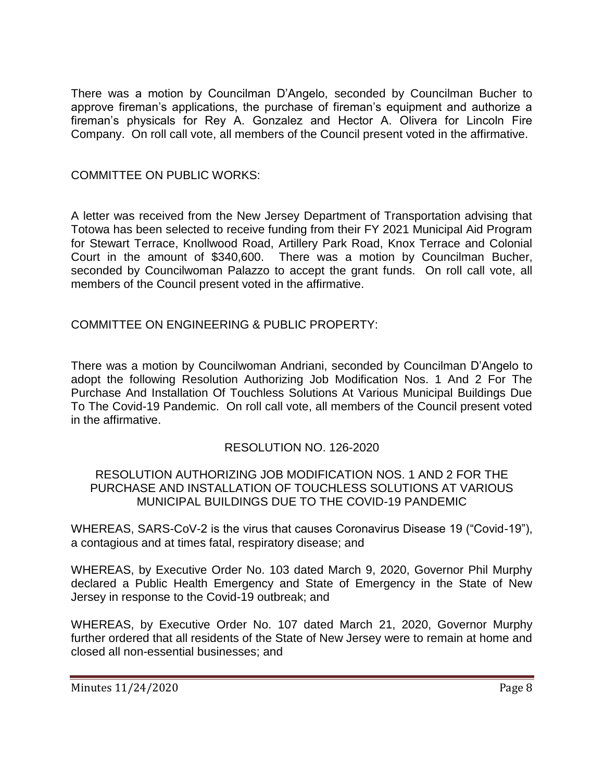There was a motion by Councilman D'Angelo, seconded by Councilman Bucher to approve fireman's applications, the purchase of fireman's equipment and authorize a fireman's physicals for Rey A. Gonzalez and Hector A. Olivera for Lincoln Fire Company. On roll call vote, all members of the Council present voted in the affirmative.

#### COMMITTEE ON PUBLIC WORKS:

A letter was received from the New Jersey Department of Transportation advising that Totowa has been selected to receive funding from their FY 2021 Municipal Aid Program for Stewart Terrace, Knollwood Road, Artillery Park Road, Knox Terrace and Colonial Court in the amount of \$340,600. There was a motion by Councilman Bucher, seconded by Councilwoman Palazzo to accept the grant funds. On roll call vote, all members of the Council present voted in the affirmative.

### COMMITTEE ON ENGINEERING & PUBLIC PROPERTY:

There was a motion by Councilwoman Andriani, seconded by Councilman D'Angelo to adopt the following Resolution Authorizing Job Modification Nos. 1 And 2 For The Purchase And Installation Of Touchless Solutions At Various Municipal Buildings Due To The Covid-19 Pandemic. On roll call vote, all members of the Council present voted in the affirmative.

### RESOLUTION NO. 126-2020

#### RESOLUTION AUTHORIZING JOB MODIFICATION NOS. 1 AND 2 FOR THE PURCHASE AND INSTALLATION OF TOUCHLESS SOLUTIONS AT VARIOUS MUNICIPAL BUILDINGS DUE TO THE COVID-19 PANDEMIC

WHEREAS, SARS-CoV-2 is the virus that causes Coronavirus Disease 19 ("Covid-19"), a contagious and at times fatal, respiratory disease; and

WHEREAS, by Executive Order No. 103 dated March 9, 2020, Governor Phil Murphy declared a Public Health Emergency and State of Emergency in the State of New Jersey in response to the Covid-19 outbreak; and

WHEREAS, by Executive Order No. 107 dated March 21, 2020, Governor Murphy further ordered that all residents of the State of New Jersey were to remain at home and closed all non-essential businesses; and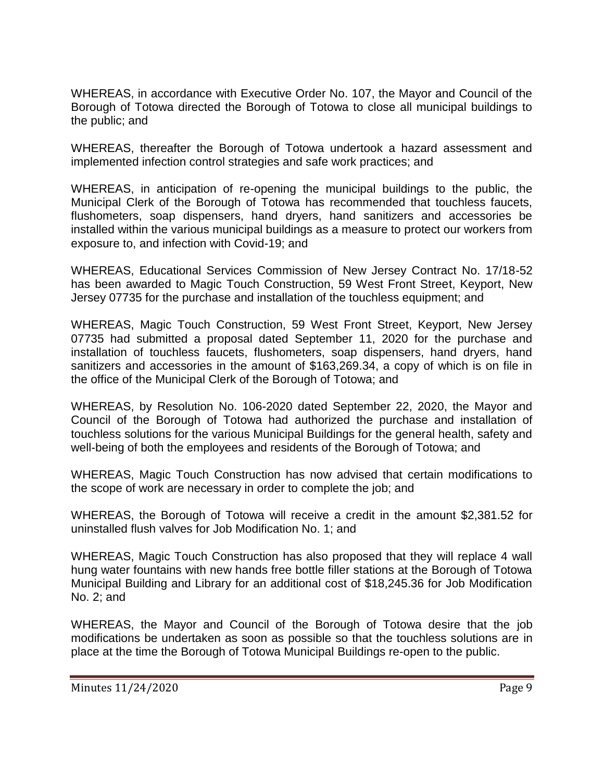WHEREAS, in accordance with Executive Order No. 107, the Mayor and Council of the Borough of Totowa directed the Borough of Totowa to close all municipal buildings to the public; and

WHEREAS, thereafter the Borough of Totowa undertook a hazard assessment and implemented infection control strategies and safe work practices; and

WHEREAS, in anticipation of re-opening the municipal buildings to the public, the Municipal Clerk of the Borough of Totowa has recommended that touchless faucets, flushometers, soap dispensers, hand dryers, hand sanitizers and accessories be installed within the various municipal buildings as a measure to protect our workers from exposure to, and infection with Covid-19; and

WHEREAS, Educational Services Commission of New Jersey Contract No. 17/18-52 has been awarded to Magic Touch Construction, 59 West Front Street, Keyport, New Jersey 07735 for the purchase and installation of the touchless equipment; and

WHEREAS, Magic Touch Construction, 59 West Front Street, Keyport, New Jersey 07735 had submitted a proposal dated September 11, 2020 for the purchase and installation of touchless faucets, flushometers, soap dispensers, hand dryers, hand sanitizers and accessories in the amount of \$163,269.34, a copy of which is on file in the office of the Municipal Clerk of the Borough of Totowa; and

WHEREAS, by Resolution No. 106-2020 dated September 22, 2020, the Mayor and Council of the Borough of Totowa had authorized the purchase and installation of touchless solutions for the various Municipal Buildings for the general health, safety and well-being of both the employees and residents of the Borough of Totowa; and

WHEREAS, Magic Touch Construction has now advised that certain modifications to the scope of work are necessary in order to complete the job; and

WHEREAS, the Borough of Totowa will receive a credit in the amount \$2,381.52 for uninstalled flush valves for Job Modification No. 1; and

WHEREAS, Magic Touch Construction has also proposed that they will replace 4 wall hung water fountains with new hands free bottle filler stations at the Borough of Totowa Municipal Building and Library for an additional cost of \$18,245.36 for Job Modification No. 2; and

WHEREAS, the Mayor and Council of the Borough of Totowa desire that the job modifications be undertaken as soon as possible so that the touchless solutions are in place at the time the Borough of Totowa Municipal Buildings re-open to the public.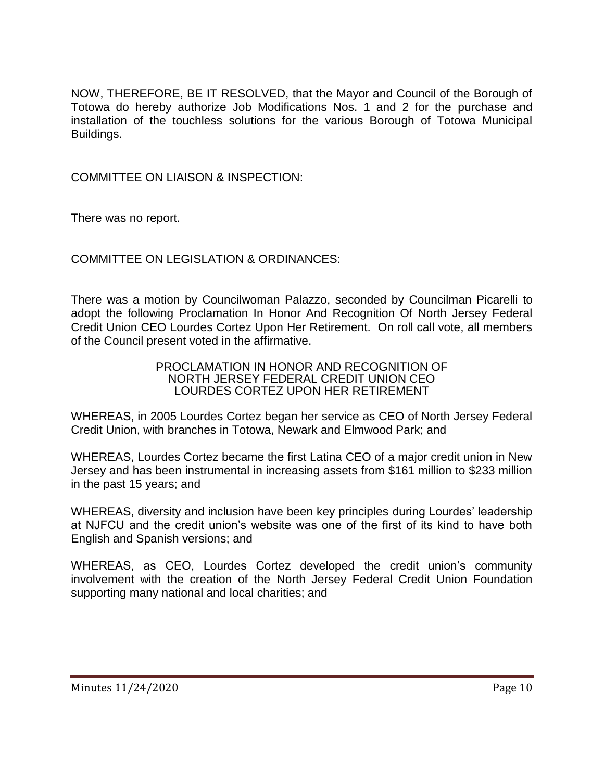NOW, THEREFORE, BE IT RESOLVED, that the Mayor and Council of the Borough of Totowa do hereby authorize Job Modifications Nos. 1 and 2 for the purchase and installation of the touchless solutions for the various Borough of Totowa Municipal Buildings.

COMMITTEE ON LIAISON & INSPECTION:

There was no report.

COMMITTEE ON LEGISLATION & ORDINANCES:

There was a motion by Councilwoman Palazzo, seconded by Councilman Picarelli to adopt the following Proclamation In Honor And Recognition Of North Jersey Federal Credit Union CEO Lourdes Cortez Upon Her Retirement. On roll call vote, all members of the Council present voted in the affirmative.

> PROCLAMATION IN HONOR AND RECOGNITION OF NORTH JERSEY FEDERAL CREDIT UNION CEO LOURDES CORTEZ UPON HER RETIREMENT

WHEREAS, in 2005 Lourdes Cortez began her service as CEO of North Jersey Federal Credit Union, with branches in Totowa, Newark and Elmwood Park; and

WHEREAS, Lourdes Cortez became the first Latina CEO of a major credit union in New Jersey and has been instrumental in increasing assets from \$161 million to \$233 million in the past 15 years; and

WHEREAS, diversity and inclusion have been key principles during Lourdes' leadership at NJFCU and the credit union's website was one of the first of its kind to have both English and Spanish versions; and

WHEREAS, as CEO, Lourdes Cortez developed the credit union's community involvement with the creation of the North Jersey Federal Credit Union Foundation supporting many national and local charities; and